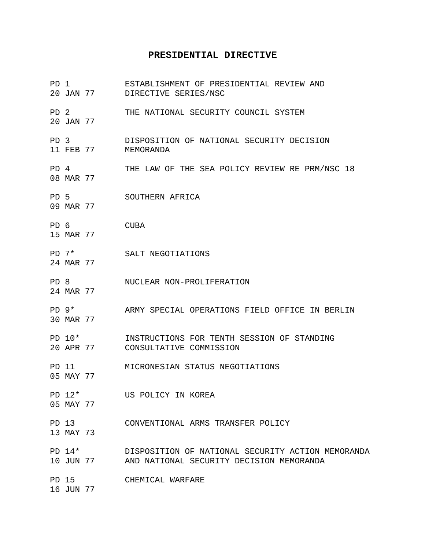## **PRESIDENTIAL DIRECTIVE**

| PD 1            |                       | 20 JAN 77 | ESTABLISHMENT OF PRESIDENTIAL REVIEW AND<br>DIRECTIVE SERIES/NSC                              |
|-----------------|-----------------------|-----------|-----------------------------------------------------------------------------------------------|
| PD <sub>2</sub> | 20 JAN 77             |           | THE NATIONAL SECURITY COUNCIL SYSTEM                                                          |
| PD <sub>3</sub> | 11 FEB 77             |           | DISPOSITION OF NATIONAL SECURITY DECISION<br>MEMORANDA                                        |
| PD 4            | 08 MAR 77             |           | THE LAW OF THE SEA POLICY REVIEW RE PRM/NSC 18                                                |
| PD <sub>5</sub> | 09 MAR 77             |           | SOUTHERN AFRICA                                                                               |
| PD 6            | 15 MAR 77             |           | CUBA                                                                                          |
|                 | $PD 7*$<br>24 MAR 77  |           | SALT NEGOTIATIONS                                                                             |
| PD <sub>8</sub> | 24 MAR 77             |           | NUCLEAR NON-PROLIFERATION                                                                     |
|                 | $PD$ 9*<br>30 MAR 77  |           | ARMY SPECIAL OPERATIONS FIELD OFFICE IN BERLIN                                                |
|                 | $PD 10*$<br>20 APR 77 |           | INSTRUCTIONS FOR TENTH SESSION OF STANDING<br>CONSULTATIVE COMMISSION                         |
|                 | PD 11<br>05 MAY 77    |           | MICRONESIAN STATUS NEGOTIATIONS                                                               |
|                 | PD 12*<br>05 MAY 77   |           | US POLICY IN KOREA                                                                            |
|                 | PD 13<br>13 MAY 73    |           | CONVENTIONAL ARMS TRANSFER POLICY                                                             |
|                 | PD $14*$              | 10 JUN 77 | DISPOSITION OF NATIONAL SECURITY ACTION MEMORANDA<br>AND NATIONAL SECURITY DECISION MEMORANDA |
|                 | PD 15<br>16 JUN 77    |           | CHEMICAL WARFARE                                                                              |
|                 |                       |           |                                                                                               |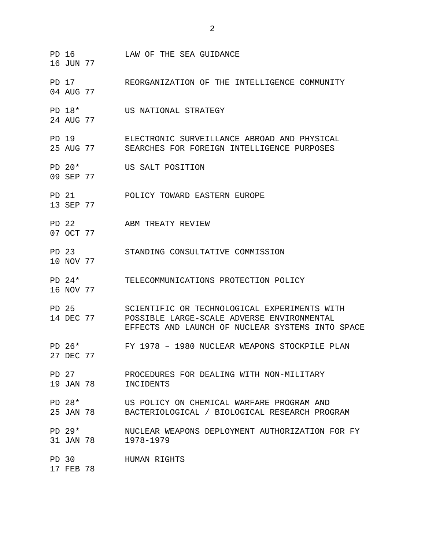PD 16 LAW OF THE SEA GUIDANCE 16 JUN 77 PD 17 REORGANIZATION OF THE INTELLIGENCE COMMUNITY 04 AUG 77 PD 18\* US NATIONAL STRATEGY 24 AUG 77 PD 19 ELECTRONIC SURVEILLANCE ABROAD AND PHYSICAL 25 AUG 77 SEARCHES FOR FOREIGN INTELLIGENCE PURPOSES PD 20\* US SALT POSITION 09 SEP 77 PD 21 POLICY TOWARD EASTERN EUROPE 13 SEP 77 PD 22 ABM TREATY REVIEW 07 OCT 77 PD 23 STANDING CONSULTATIVE COMMISSION 10 NOV 77 PD 24\* TELECOMMUNICATIONS PROTECTION POLICY 16 NOV 77 PD 25 SCIENTIFIC OR TECHNOLOGICAL EXPERIMENTS WITH 14 DEC 77 POSSIBLE LARGE-SCALE ADVERSE ENVIRONMENTAL EFFECTS AND LAUNCH OF NUCLEAR SYSTEMS INTO SPACE PD 26\* FY 1978 – 1980 NUCLEAR WEAPONS STOCKPILE PLAN 27 DEC 77 PD 27 PROCEDURES FOR DEALING WITH NON-MILITARY 19 JAN 78 INCIDENTS PD 28\* US POLICY ON CHEMICAL WARFARE PROGRAM AND 25 JAN 78 BACTERIOLOGICAL / BIOLOGICAL RESEARCH PROGRAM PD 29\* NUCLEAR WEAPONS DEPLOYMENT AUTHORIZATION FOR FY 31 JAN 78 1978-1979 PD 30 HUMAN RIGHTS 17 FEB 78

2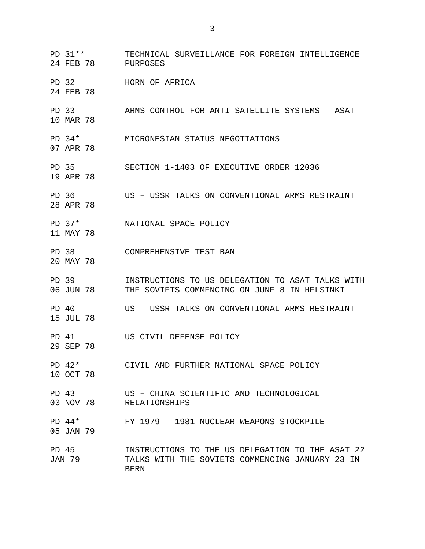PD 31\*\* TECHNICAL SURVEILLANCE FOR FOREIGN INTELLIGENCE 24 FEB 78 PURPOSES PD 32 HORN OF AFRICA 24 FEB 78 PD 33 ARMS CONTROL FOR ANTI-SATELLITE SYSTEMS – ASAT 10 MAR 78 PD 34\* MICRONESIAN STATUS NEGOTIATIONS 07 APR 78 PD 35 SECTION 1-1403 OF EXECUTIVE ORDER 12036 19 APR 78 PD 36 US – USSR TALKS ON CONVENTIONAL ARMS RESTRAINT 28 APR 78 PD 37\* NATIONAL SPACE POLICY 11 MAY 78 PD 38 COMPREHENSIVE TEST BAN 20 MAY 78 PD 39 INSTRUCTIONS TO US DELEGATION TO ASAT TALKS WITH 06 JUN 78 THE SOVIETS COMMENCING ON JUNE 8 IN HELSINKI THE SOVIETS COMMENCING ON JUNE 8 IN HELSINKI PD 40 US – USSR TALKS ON CONVENTIONAL ARMS RESTRAINT 15 JUL 78 PD 41 US CIVIL DEFENSE POLICY 29 SEP 78 PD 42\* CIVIL AND FURTHER NATIONAL SPACE POLICY 10 OCT 78 PD 43 US – CHINA SCIENTIFIC AND TECHNOLOGICAL 03 NOV 78 RELATIONSHIPS PD 44\* FY 1979 – 1981 NUCLEAR WEAPONS STOCKPILE 05 JAN 79 PD 45 **INSTRUCTIONS TO THE US DELEGATION TO THE ASAT 22** JAN 79 TALKS WITH THE SOVIETS COMMENCING JANUARY 23 IN BERN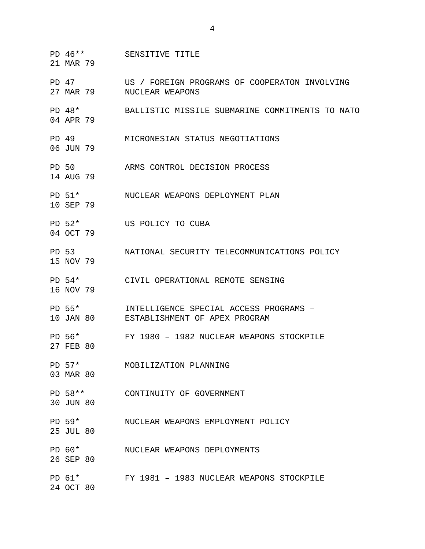21 MAR 79 PD 47 US / FOREIGN PROGRAMS OF COOPERATON INVOLVING 27 MAR 79 NUCLEAR WEAPONS PD 48\* BALLISTIC MISSILE SUBMARINE COMMITMENTS TO NATO 04 APR 79 PD 49 MICRONESIAN STATUS NEGOTIATIONS 06 JUN 79 PD 50 ARMS CONTROL DECISION PROCESS 14 AUG 79 PD 51\* NUCLEAR WEAPONS DEPLOYMENT PLAN 10 SEP 79 PD 52\* US POLICY TO CUBA 04 OCT 79 PD 53 NATIONAL SECURITY TELECOMMUNICATIONS POLICY 15 NOV 79 PD 54\* CIVIL OPERATIONAL REMOTE SENSING 16 NOV 79 PD 55\* INTELLIGENCE SPECIAL ACCESS PROGRAMS – 10 JAN 80 ESTABLISHMENT OF APEX PROGRAM PD 56\* FY 1980 – 1982 NUCLEAR WEAPONS STOCKPILE 27 FEB 80 PD 57\* MOBILIZATION PLANNING 03 MAR 80 PD 58\*\* CONTINUITY OF GOVERNMENT 30 JUN 80 PD 59\* NUCLEAR WEAPONS EMPLOYMENT POLICY 25 JUL 80 PD 60\* NUCLEAR WEAPONS DEPLOYMENTS 26 SEP 80 PD 61\* FY 1981 – 1983 NUCLEAR WEAPONS STOCKPILE 24 OCT 80

4

PD 46\*\* SENSITIVE TITLE